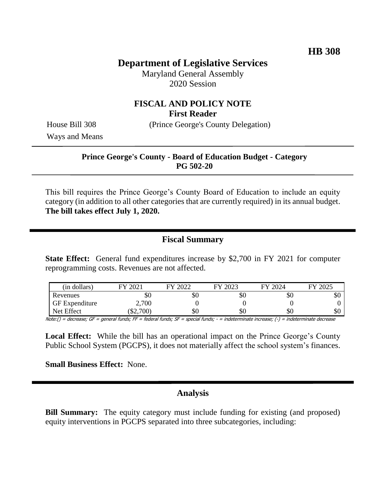# **Department of Legislative Services**

Maryland General Assembly 2020 Session

## **FISCAL AND POLICY NOTE First Reader**

House Bill 308 (Prince George's County Delegation)

Ways and Means

#### **Prince George's County - Board of Education Budget - Category PG 502-20**

This bill requires the Prince George's County Board of Education to include an equity category (in addition to all other categories that are currently required) in its annual budget. **The bill takes effect July 1, 2020.**

### **Fiscal Summary**

**State Effect:** General fund expenditures increase by \$2,700 in FY 2021 for computer reprogramming costs. Revenues are not affected.

| (in dollars)          | 2021    | 2022 | FY 2023 | FY 2024 | FY 2025 |
|-----------------------|---------|------|---------|---------|---------|
| Revenues              | УU      | \$0  | УU      | υU      | υU      |
| <b>GF</b> Expenditure | 2,700   |      |         |         |         |
| Net Effect            | \$2,700 | \$0  | \$0     | ΦU      | υU      |

Note:() = decrease; GF = general funds; FF = federal funds; SF = special funds; - = indeterminate increase; (-) = indeterminate decrease

Local Effect: While the bill has an operational impact on the Prince George's County Public School System (PGCPS), it does not materially affect the school system's finances.

**Small Business Effect:** None.

### **Analysis**

**Bill Summary:** The equity category must include funding for existing (and proposed) equity interventions in PGCPS separated into three subcategories, including: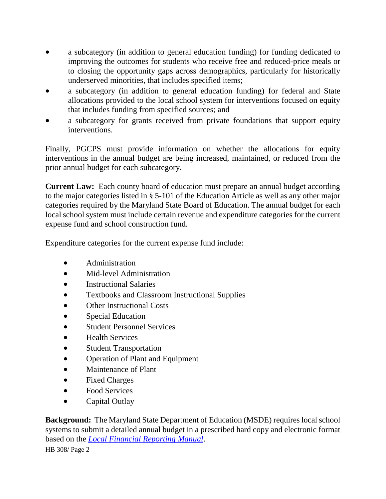- a subcategory (in addition to general education funding) for funding dedicated to improving the outcomes for students who receive free and reduced-price meals or to closing the opportunity gaps across demographics, particularly for historically underserved minorities, that includes specified items;
- a subcategory (in addition to general education funding) for federal and State allocations provided to the local school system for interventions focused on equity that includes funding from specified sources; and
- a subcategory for grants received from private foundations that support equity interventions.

Finally, PGCPS must provide information on whether the allocations for equity interventions in the annual budget are being increased, maintained, or reduced from the prior annual budget for each subcategory.

**Current Law:** Each county board of education must prepare an annual budget according to the major categories listed in § 5-101 of the Education Article as well as any other major categories required by the Maryland State Board of Education. The annual budget for each local school system must include certain revenue and expenditure categories for the current expense fund and school construction fund.

Expenditure categories for the current expense fund include:

- Administration
- Mid-level Administration
- Instructional Salaries
- Textbooks and Classroom Instructional Supplies
- Other Instructional Costs
- Special Education
- Student Personnel Services
- Health Services
- Student Transportation
- Operation of Plant and Equipment
- Maintenance of Plant
- Fixed Charges
- Food Services
- Capital Outlay

**Background:** The Maryland State Department of Education (MSDE) requires local school systems to submit a detailed annual budget in a prescribed hard copy and electronic format based on the *[Local Financial Reporting Manual](http://www.marylandpublicschools.org/about/Pages/DBS/Local-Finance-Reporting/FinancialReportingManual.aspx)*.

HB 308/ Page 2